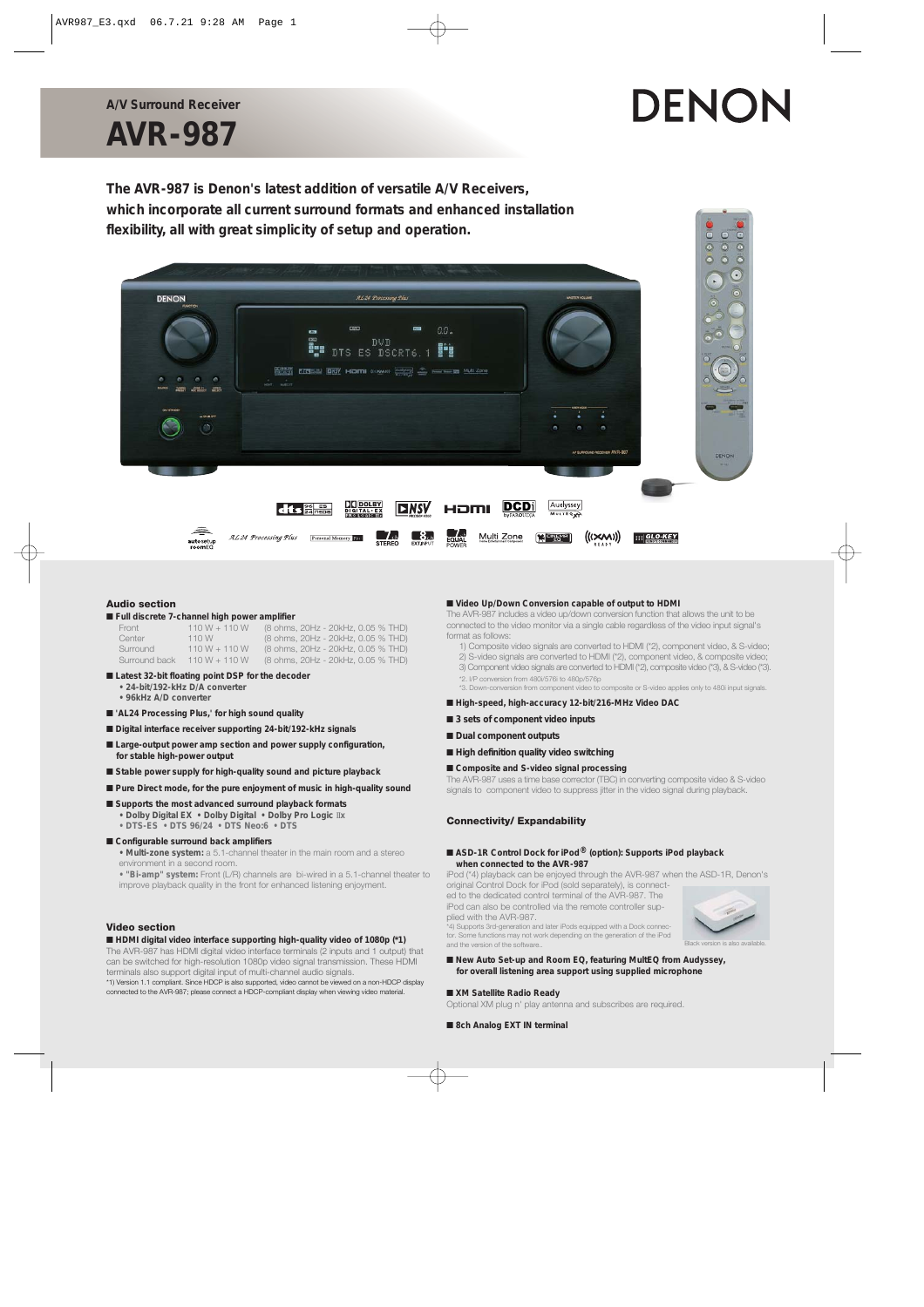## **AVR-987 A/V Surround Receiver**

# DENON

**The AVR-987 is Denon's latest addition of versatile A/V Receivers, which incorporate all current surround formats and enhanced installation flexibility, all with great simplicity of setup and operation.**



#### **Audio section**

#### ■ **Full discrete 7-channel high power amplifier**

| Front         | $110 W + 110 W$ | (8 ohms, 20Hz - 20kHz, 0.05 % THD) |
|---------------|-----------------|------------------------------------|
| Center        | 110 W           | (8 ohms, 20Hz - 20kHz, 0.05 % THD) |
| Surround      | $110 W + 110 W$ | (8 ohms, 20Hz - 20kHz, 0.05 % THD) |
| Surround back | $110 W + 110 W$ | (8 ohms, 20Hz - 20kHz, 0.05 % THD) |

#### ■ Latest 32-bit floating point DSP for the decoder

- **24-bit/192-kHz D/A converter • 96kHz A/D converter**
- 
- 'AL24 Processing Plus,' for high sound quality
- **Digital interface receiver supporting 24-bit/192-kHz signals**
- Large-output power amp section and power supply configuration, **for stable high-power output**
- Stable power supply for high-quality sound and picture playback
- Pure Direct mode, for the pure enjoyment of music in high-quality sound
- Supports the most advanced surround playback formats **• Dolby Digital EX • Dolby Digital • Dolby Pro Logic** II**x**
- **DTS-ES DTS 96/24 DTS Neo:6 DTS**

#### ■ Configurable surround back amplifiers

**• Multi-zone system:** a 5.1-channel theater in the main room and a stereo environment in a second room.

**• "Bi-amp" system:** Front (L/R) channels are bi-wired in a 5.1-channel theater to improve playback quality in the front for enhanced listening enjoyment.

#### **Video section**

#### ■ **HDMI digital video interface supporting high-quality video of 1080p (\*1)**

The AVR-987 has HDMI digital video interface terminals (2 inputs and 1 output) that can be switched for high-resolution 1080p video signal transmission. These HDMI terminals also support digital input of multi-channel audio signals.

\*1) Version 1.1 compliant. Since HDCP is also supported, video cannot be viewed on a non-HDCP display connected to the AVR-987; please connect a HDCP-compliant display when viewing video material.

#### ■ Video Up/Down Conversion capable of output to HDMI

The AVR-987 includes a video up/down conversion function that allows the unit to be connected to the video monitor via a single cable regardless of the video input signal's format as follows:

- 1) Composite video signals are converted to HDMI (\*2), component video, & S-video;
- 2) S-video signals are converted to HDMI (\*2), component video, & composite video; 3) Component video signals are converted to HDMI (\*2), composite video (\*3), & S-video (\*3).
- \*2. I/P conversion from 480i/576i to 480p/576p
- \*3. Down-conversion from component video to composite or S-video applies only to 480i input signals.

#### ■ High-speed, high-accuracy 12-bit/216-MHz Video DAC

- 3 sets of component video inputs
- **Dual component outputs**
- **High definition quality video switching**

#### ■ **Composite and S-video signal processing**

The AVR-987 uses a time base corrector (TBC) in converting composite video & S-video signals to component video to suppress jitter in the video signal during playback.

#### **Connectivity/ Expandability**

#### ■ **ASD-1R Control Dock for iPod®** (option): Supports iPod playback **when connected to the AVR-987**

iPod (\*4) playback can be enjoyed through the AVR-987 when the ASD-1R, Denon's original Control Dock for iPod (sold separately), is connect-

ed to the dedicated control terminal of the AVR-987. The iPod can also be controlled via the remote controller supplied with the AVR-987.

\*4) Supports 3rd-generation and later iPods equipped with a Dock connec-tor. Some functions may not work depending on the generation of the iPod and the version of the software



Black version is also available.

### ■ New Auto Set-up and Room EQ, featuring MultEQ from Audyssey, **for overall listening area support using supplied microphone**

#### ■ **XM Satellite Radio Ready**

Optional XM plug n' play antenna and subscribes are required.

■ 8ch Analog EXT IN terminal